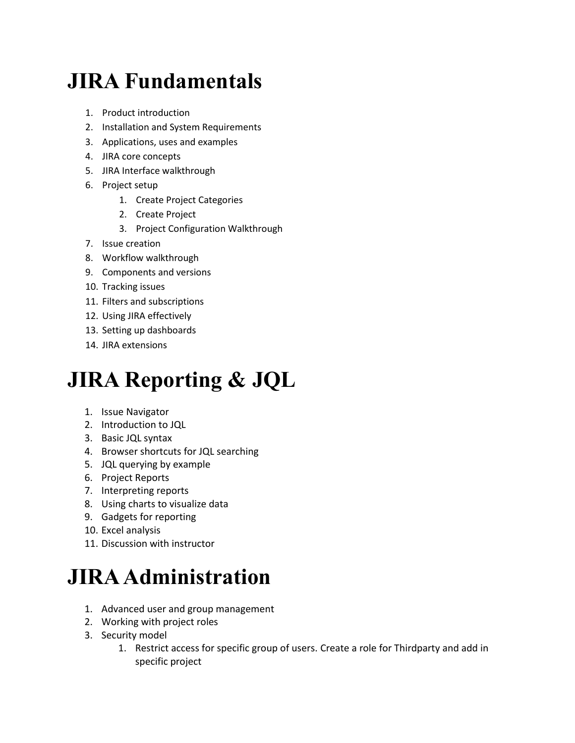## **JIRA Fundamentals**

- 1. Product introduction
- 2. Installation and System Requirements
- 3. Applications, uses and examples
- 4. JIRA core concepts
- 5. JIRA Interface walkthrough
- 6. Project setup
	- 1. Create Project Categories
	- 2. Create Project
	- 3. Project Configuration Walkthrough
- 7. Issue creation
- 8. Workflow walkthrough
- 9. Components and versions
- 10. Tracking issues
- 11. Filters and subscriptions
- 12. Using JIRA effectively
- 13. Setting up dashboards
- 14. JIRA extensions

### **JIRA Reporting & JQL**

- 1. Issue Navigator
- 2. Introduction to JQL
- 3. Basic JQL syntax
- 4. Browser shortcuts for JQL searching
- 5. JQL querying by example
- 6. Project Reports
- 7. Interpreting reports
- 8. Using charts to visualize data
- 9. Gadgets for reporting
- 10. Excel analysis
- 11. Discussion with instructor

### **JIRA Administration**

- 1. Advanced user and group management
- 2. Working with project roles
- 3. Security model
	- 1. Restrict access for specific group of users. Create a role for Thirdparty and add in specific project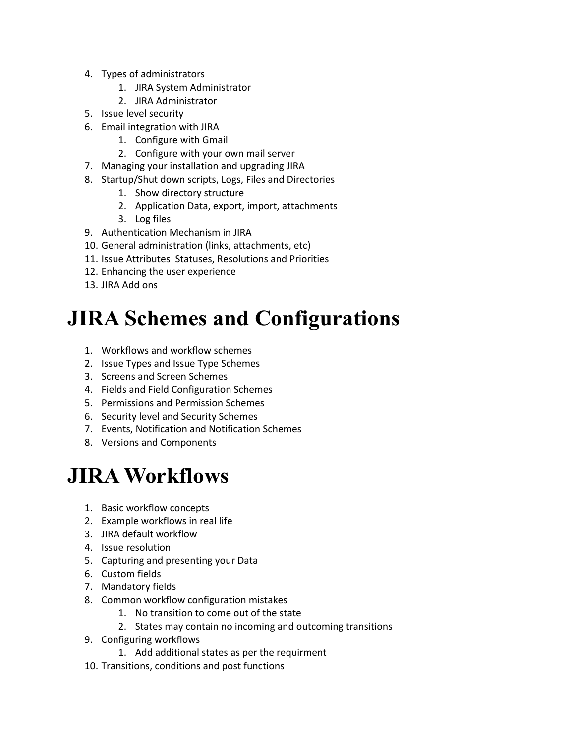- 4. Types of administrators
	- 1. JIRA System Administrator
	- 2. JIRA Administrator
- 5. Issue level security
- 6. Email integration with JIRA
	- 1. Configure with Gmail
	- 2. Configure with your own mail server
- 7. Managing your installation and upgrading JIRA
- 8. Startup/Shut down scripts, Logs, Files and Directories
	- 1. Show directory structure
	- 2. Application Data, export, import, attachments
	- 3. Log files
- 9. Authentication Mechanism in JIRA
- 10. General administration (links, attachments, etc)
- 11. Issue Attributes Statuses, Resolutions and Priorities
- 12. Enhancing the user experience
- 13. JIRA Add ons

### **JIRA Schemes and Configurations**

- 1. Workflows and workflow schemes
- 2. Issue Types and Issue Type Schemes
- 3. Screens and Screen Schemes
- 4. Fields and Field Configuration Schemes
- 5. Permissions and Permission Schemes
- 6. Security level and Security Schemes
- 7. Events, Notification and Notification Schemes
- 8. Versions and Components

#### **JIRA Workflows**

- 1. Basic workflow concepts
- 2. Example workflows in real life
- 3. JIRA default workflow
- 4. Issue resolution
- 5. Capturing and presenting your Data
- 6. Custom fields
- 7. Mandatory fields
- 8. Common workflow configuration mistakes
	- 1. No transition to come out of the state
	- 2. States may contain no incoming and outcoming transitions
- 9. Configuring workflows
	- 1. Add additional states as per the requirment
- 10. Transitions, conditions and post functions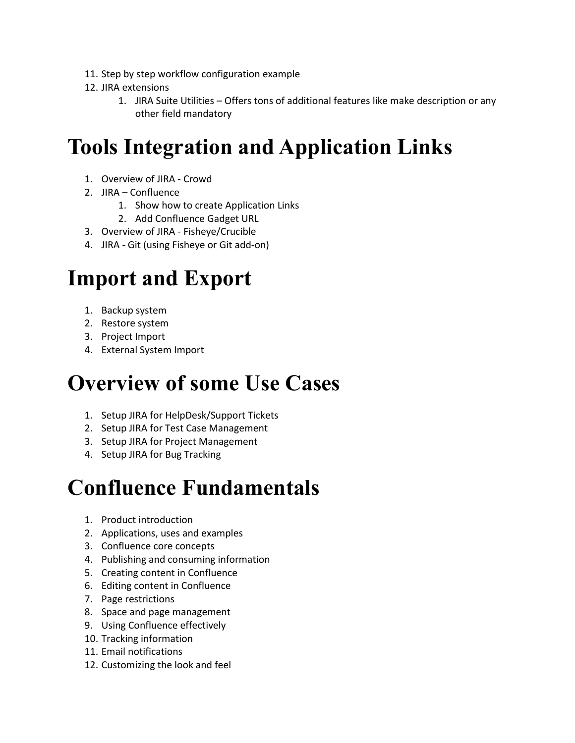- 11. Step by step workflow configuration example
- 12. JIRA extensions
	- 1. JIRA Suite Utilities Offers tons of additional features like make description or any other field mandatory

## **Tools Integration and Application Links**

- 1. Overview of JIRA Crowd
- 2. JIRA Confluence
	- 1. Show how to create Application Links
	- 2. Add Confluence Gadget URL
- 3. Overview of JIRA Fisheye/Crucible
- 4. JIRA Git (using Fisheye or Git add-on)

### **Import and Export**

- 1. Backup system
- 2. Restore system
- 3. Project Import
- 4. External System Import

### **Overview of some Use Cases**

- 1. Setup JIRA for HelpDesk/Support Tickets
- 2. Setup JIRA for Test Case Management
- 3. Setup JIRA for Project Management
- 4. Setup JIRA for Bug Tracking

#### **Confluence Fundamentals**

- 1. Product introduction
- 2. Applications, uses and examples
- 3. Confluence core concepts
- 4. Publishing and consuming information
- 5. Creating content in Confluence
- 6. Editing content in Confluence
- 7. Page restrictions
- 8. Space and page management
- 9. Using Confluence effectively
- 10. Tracking information
- 11. Email notifications
- 12. Customizing the look and feel